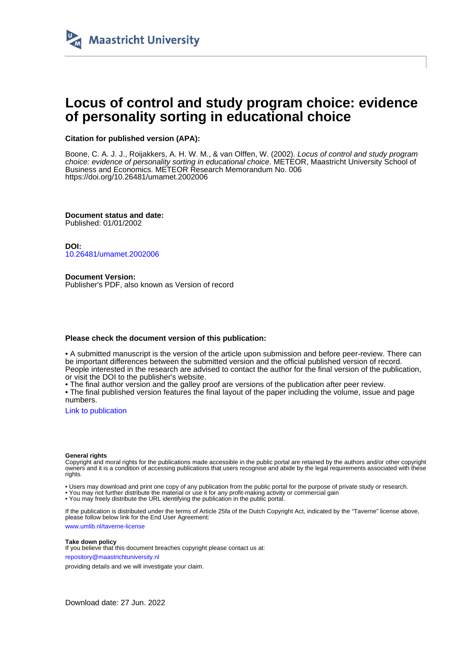

# **Locus of control and study program choice: evidence of personality sorting in educational choice**

#### **Citation for published version (APA):**

Boone, C. A. J. J., Roijakkers, A. H. W. M., & van Olffen, W. (2002). Locus of control and study program choice: evidence of personality sorting in educational choice. METEOR, Maastricht University School of Business and Economics. METEOR Research Memorandum No. 006 <https://doi.org/10.26481/umamet.2002006>

**Document status and date:** Published: 01/01/2002

**DOI:** [10.26481/umamet.2002006](https://doi.org/10.26481/umamet.2002006)

**Document Version:** Publisher's PDF, also known as Version of record

#### **Please check the document version of this publication:**

• A submitted manuscript is the version of the article upon submission and before peer-review. There can be important differences between the submitted version and the official published version of record. People interested in the research are advised to contact the author for the final version of the publication, or visit the DOI to the publisher's website.

• The final author version and the galley proof are versions of the publication after peer review.

• The final published version features the final layout of the paper including the volume, issue and page numbers.

[Link to publication](https://cris.maastrichtuniversity.nl/en/publications/e3b8c062-fe87-4417-8504-8733d42f402b)

#### **General rights**

Copyright and moral rights for the publications made accessible in the public portal are retained by the authors and/or other copyright owners and it is a condition of accessing publications that users recognise and abide by the legal requirements associated with these rights.

• Users may download and print one copy of any publication from the public portal for the purpose of private study or research.

• You may not further distribute the material or use it for any profit-making activity or commercial gain

• You may freely distribute the URL identifying the publication in the public portal.

If the publication is distributed under the terms of Article 25fa of the Dutch Copyright Act, indicated by the "Taverne" license above, please follow below link for the End User Agreement:

www.umlib.nl/taverne-license

#### **Take down policy**

If you believe that this document breaches copyright please contact us at: repository@maastrichtuniversity.nl

providing details and we will investigate your claim.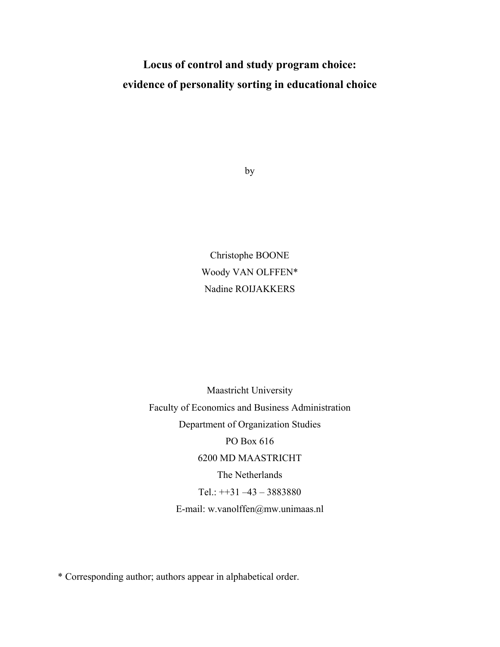# **Locus of control and study program choice: evidence of personality sorting in educational choice**

by

Christophe BOONE Woody VAN OLFFEN\* Nadine ROIJAKKERS

Maastricht University Faculty of Economics and Business Administration Department of Organization Studies PO Box 616 6200 MD MAASTRICHT The Netherlands Tel.:  $+31 -43 - 3883880$ E-mail: w.vanolffen@mw.unimaas.nl

\* Corresponding author; authors appear in alphabetical order.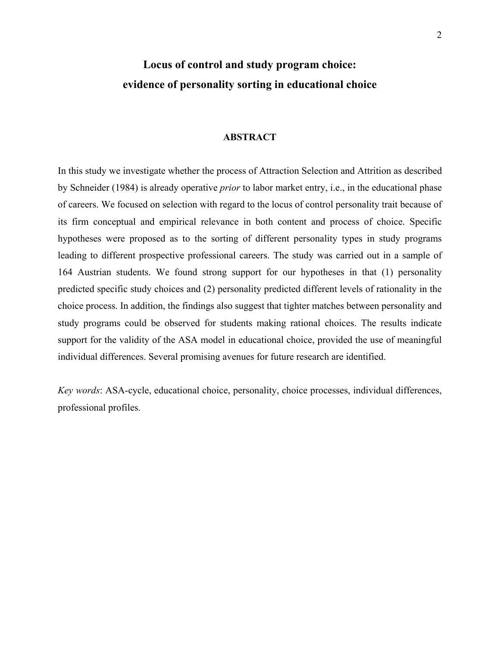# **Locus of control and study program choice: evidence of personality sorting in educational choice**

### **ABSTRACT**

In this study we investigate whether the process of Attraction Selection and Attrition as described by Schneider (1984) is already operative *prior* to labor market entry, i.e., in the educational phase of careers. We focused on selection with regard to the locus of control personality trait because of its firm conceptual and empirical relevance in both content and process of choice. Specific hypotheses were proposed as to the sorting of different personality types in study programs leading to different prospective professional careers. The study was carried out in a sample of 164 Austrian students. We found strong support for our hypotheses in that (1) personality predicted specific study choices and (2) personality predicted different levels of rationality in the choice process. In addition, the findings also suggest that tighter matches between personality and study programs could be observed for students making rational choices. The results indicate support for the validity of the ASA model in educational choice, provided the use of meaningful individual differences. Several promising avenues for future research are identified.

*Key words*: ASA-cycle, educational choice, personality, choice processes, individual differences, professional profiles.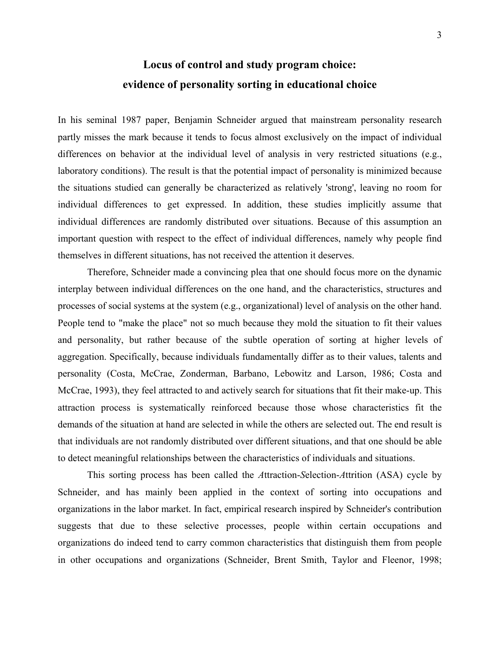# **Locus of control and study program choice: evidence of personality sorting in educational choice**

In his seminal 1987 paper, Benjamin Schneider argued that mainstream personality research partly misses the mark because it tends to focus almost exclusively on the impact of individual differences on behavior at the individual level of analysis in very restricted situations (e.g., laboratory conditions). The result is that the potential impact of personality is minimized because the situations studied can generally be characterized as relatively 'strong', leaving no room for individual differences to get expressed. In addition, these studies implicitly assume that individual differences are randomly distributed over situations. Because of this assumption an important question with respect to the effect of individual differences, namely why people find themselves in different situations, has not received the attention it deserves.

Therefore, Schneider made a convincing plea that one should focus more on the dynamic interplay between individual differences on the one hand, and the characteristics, structures and processes of social systems at the system (e.g., organizational) level of analysis on the other hand. People tend to "make the place" not so much because they mold the situation to fit their values and personality, but rather because of the subtle operation of sorting at higher levels of aggregation. Specifically, because individuals fundamentally differ as to their values, talents and personality (Costa, McCrae, Zonderman, Barbano, Lebowitz and Larson, 1986; Costa and McCrae, 1993), they feel attracted to and actively search for situations that fit their make-up. This attraction process is systematically reinforced because those whose characteristics fit the demands of the situation at hand are selected in while the others are selected out. The end result is that individuals are not randomly distributed over different situations, and that one should be able to detect meaningful relationships between the characteristics of individuals and situations.

This sorting process has been called the *A*ttraction-*S*election-*A*ttrition (ASA) cycle by Schneider, and has mainly been applied in the context of sorting into occupations and organizations in the labor market. In fact, empirical research inspired by Schneider's contribution suggests that due to these selective processes, people within certain occupations and organizations do indeed tend to carry common characteristics that distinguish them from people in other occupations and organizations (Schneider, Brent Smith, Taylor and Fleenor, 1998;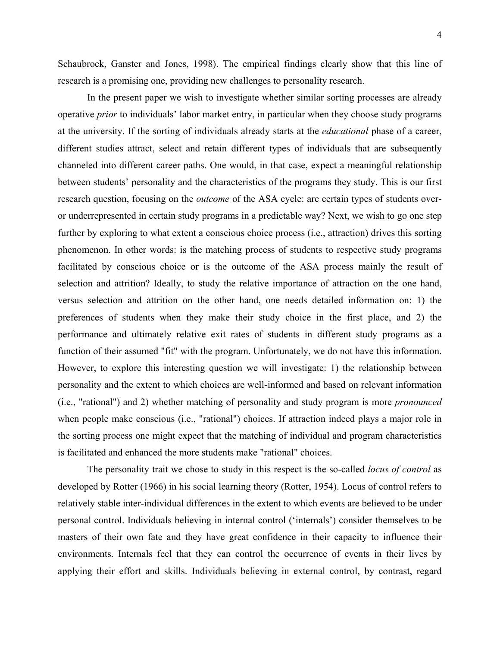Schaubroek, Ganster and Jones, 1998). The empirical findings clearly show that this line of research is a promising one, providing new challenges to personality research.

In the present paper we wish to investigate whether similar sorting processes are already operative *prior* to individuals' labor market entry, in particular when they choose study programs at the university. If the sorting of individuals already starts at the *educational* phase of a career, different studies attract, select and retain different types of individuals that are subsequently channeled into different career paths. One would, in that case, expect a meaningful relationship between students' personality and the characteristics of the programs they study. This is our first research question, focusing on the *outcome* of the ASA cycle: are certain types of students overor underrepresented in certain study programs in a predictable way? Next, we wish to go one step further by exploring to what extent a conscious choice process (i.e., attraction) drives this sorting phenomenon. In other words: is the matching process of students to respective study programs facilitated by conscious choice or is the outcome of the ASA process mainly the result of selection and attrition? Ideally, to study the relative importance of attraction on the one hand, versus selection and attrition on the other hand, one needs detailed information on: 1) the preferences of students when they make their study choice in the first place, and 2) the performance and ultimately relative exit rates of students in different study programs as a function of their assumed "fit" with the program. Unfortunately, we do not have this information. However, to explore this interesting question we will investigate: 1) the relationship between personality and the extent to which choices are well-informed and based on relevant information (i.e., "rational") and 2) whether matching of personality and study program is more *pronounced* when people make conscious (i.e., "rational") choices. If attraction indeed plays a major role in the sorting process one might expect that the matching of individual and program characteristics is facilitated and enhanced the more students make "rational" choices.

The personality trait we chose to study in this respect is the so-called *locus of control* as developed by Rotter (1966) in his social learning theory (Rotter, 1954). Locus of control refers to relatively stable inter-individual differences in the extent to which events are believed to be under personal control. Individuals believing in internal control ('internals') consider themselves to be masters of their own fate and they have great confidence in their capacity to influence their environments. Internals feel that they can control the occurrence of events in their lives by applying their effort and skills. Individuals believing in external control, by contrast, regard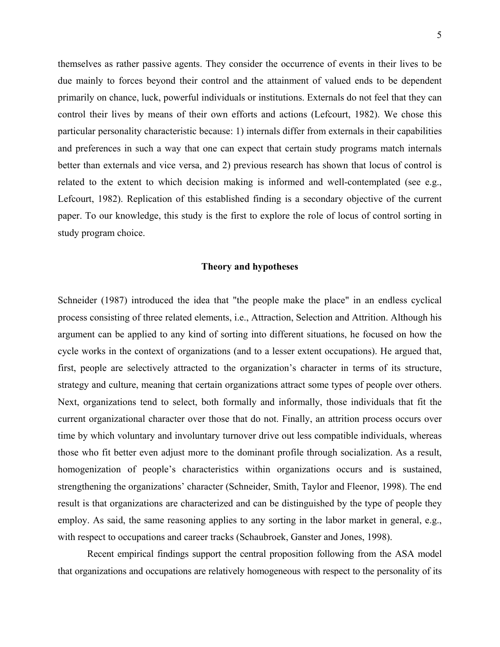themselves as rather passive agents. They consider the occurrence of events in their lives to be due mainly to forces beyond their control and the attainment of valued ends to be dependent primarily on chance, luck, powerful individuals or institutions. Externals do not feel that they can control their lives by means of their own efforts and actions (Lefcourt, 1982). We chose this particular personality characteristic because: 1) internals differ from externals in their capabilities and preferences in such a way that one can expect that certain study programs match internals better than externals and vice versa, and 2) previous research has shown that locus of control is related to the extent to which decision making is informed and well-contemplated (see e.g., Lefcourt, 1982). Replication of this established finding is a secondary objective of the current paper. To our knowledge, this study is the first to explore the role of locus of control sorting in study program choice.

### **Theory and hypotheses**

Schneider (1987) introduced the idea that "the people make the place" in an endless cyclical process consisting of three related elements, i.e., Attraction, Selection and Attrition. Although his argument can be applied to any kind of sorting into different situations, he focused on how the cycle works in the context of organizations (and to a lesser extent occupations). He argued that, first, people are selectively attracted to the organization's character in terms of its structure, strategy and culture, meaning that certain organizations attract some types of people over others. Next, organizations tend to select, both formally and informally, those individuals that fit the current organizational character over those that do not. Finally, an attrition process occurs over time by which voluntary and involuntary turnover drive out less compatible individuals, whereas those who fit better even adjust more to the dominant profile through socialization. As a result, homogenization of people's characteristics within organizations occurs and is sustained, strengthening the organizations' character (Schneider, Smith, Taylor and Fleenor, 1998). The end result is that organizations are characterized and can be distinguished by the type of people they employ. As said, the same reasoning applies to any sorting in the labor market in general, e.g., with respect to occupations and career tracks (Schaubroek, Ganster and Jones, 1998).

Recent empirical findings support the central proposition following from the ASA model that organizations and occupations are relatively homogeneous with respect to the personality of its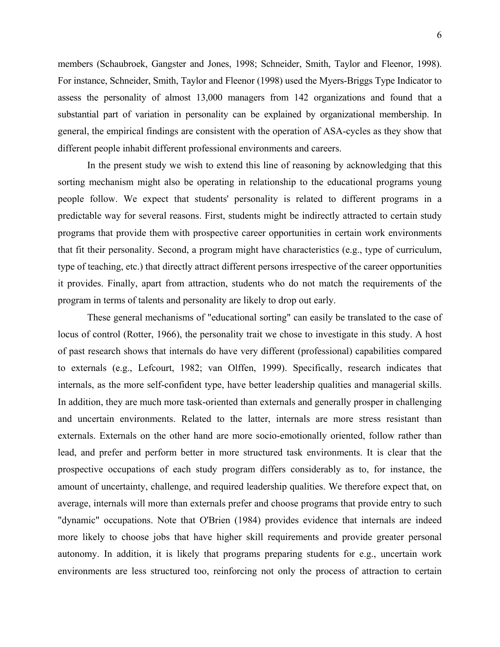members (Schaubroek, Gangster and Jones, 1998; Schneider, Smith, Taylor and Fleenor, 1998). For instance, Schneider, Smith, Taylor and Fleenor (1998) used the Myers-Briggs Type Indicator to assess the personality of almost 13,000 managers from 142 organizations and found that a substantial part of variation in personality can be explained by organizational membership. In general, the empirical findings are consistent with the operation of ASA-cycles as they show that different people inhabit different professional environments and careers.

In the present study we wish to extend this line of reasoning by acknowledging that this sorting mechanism might also be operating in relationship to the educational programs young people follow. We expect that students' personality is related to different programs in a predictable way for several reasons. First, students might be indirectly attracted to certain study programs that provide them with prospective career opportunities in certain work environments that fit their personality. Second, a program might have characteristics (e.g., type of curriculum, type of teaching, etc.) that directly attract different persons irrespective of the career opportunities it provides. Finally, apart from attraction, students who do not match the requirements of the program in terms of talents and personality are likely to drop out early.

 These general mechanisms of "educational sorting" can easily be translated to the case of locus of control (Rotter, 1966), the personality trait we chose to investigate in this study. A host of past research shows that internals do have very different (professional) capabilities compared to externals (e.g., Lefcourt, 1982; van Olffen, 1999). Specifically, research indicates that internals, as the more self-confident type, have better leadership qualities and managerial skills. In addition, they are much more task-oriented than externals and generally prosper in challenging and uncertain environments. Related to the latter, internals are more stress resistant than externals. Externals on the other hand are more socio-emotionally oriented, follow rather than lead, and prefer and perform better in more structured task environments. It is clear that the prospective occupations of each study program differs considerably as to, for instance, the amount of uncertainty, challenge, and required leadership qualities. We therefore expect that, on average, internals will more than externals prefer and choose programs that provide entry to such "dynamic" occupations. Note that O'Brien (1984) provides evidence that internals are indeed more likely to choose jobs that have higher skill requirements and provide greater personal autonomy. In addition, it is likely that programs preparing students for e.g., uncertain work environments are less structured too, reinforcing not only the process of attraction to certain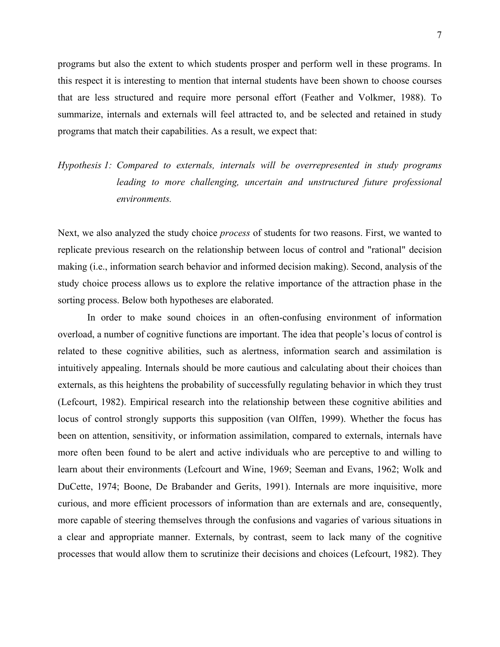programs but also the extent to which students prosper and perform well in these programs. In this respect it is interesting to mention that internal students have been shown to choose courses that are less structured and require more personal effort (Feather and Volkmer, 1988). To summarize, internals and externals will feel attracted to, and be selected and retained in study programs that match their capabilities. As a result, we expect that:

# *Hypothesis 1: Compared to externals, internals will be overrepresented in study programs leading to more challenging, uncertain and unstructured future professional environments.*

Next, we also analyzed the study choice *process* of students for two reasons. First, we wanted to replicate previous research on the relationship between locus of control and "rational" decision making (i.e., information search behavior and informed decision making). Second, analysis of the study choice process allows us to explore the relative importance of the attraction phase in the sorting process. Below both hypotheses are elaborated.

In order to make sound choices in an often-confusing environment of information overload, a number of cognitive functions are important. The idea that people's locus of control is related to these cognitive abilities, such as alertness, information search and assimilation is intuitively appealing. Internals should be more cautious and calculating about their choices than externals, as this heightens the probability of successfully regulating behavior in which they trust (Lefcourt, 1982). Empirical research into the relationship between these cognitive abilities and locus of control strongly supports this supposition (van Olffen, 1999). Whether the focus has been on attention, sensitivity, or information assimilation, compared to externals, internals have more often been found to be alert and active individuals who are perceptive to and willing to learn about their environments (Lefcourt and Wine, 1969; Seeman and Evans, 1962; Wolk and DuCette, 1974; Boone, De Brabander and Gerits, 1991). Internals are more inquisitive, more curious, and more efficient processors of information than are externals and are, consequently, more capable of steering themselves through the confusions and vagaries of various situations in a clear and appropriate manner. Externals, by contrast, seem to lack many of the cognitive processes that would allow them to scrutinize their decisions and choices (Lefcourt, 1982). They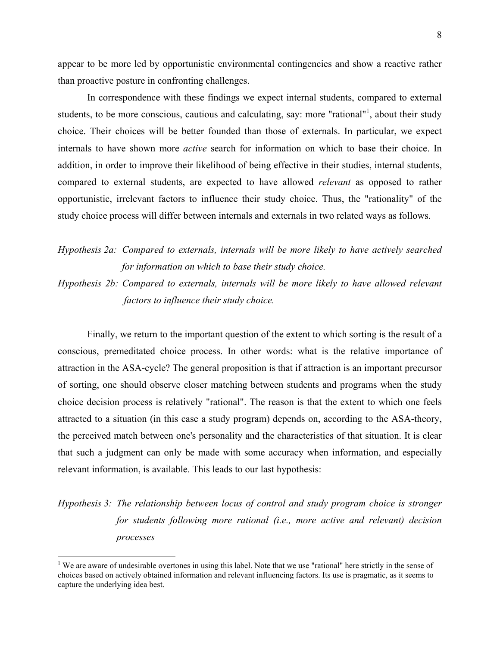appear to be more led by opportunistic environmental contingencies and show a reactive rather than proactive posture in confronting challenges.

In correspondence with these findings we expect internal students, compared to external students, to be more conscious, cautious and calculating, say: more "rational"<sup>[1](#page-8-0)</sup>, about their study choice. Their choices will be better founded than those of externals. In particular, we expect internals to have shown more *active* search for information on which to base their choice. In addition, in order to improve their likelihood of being effective in their studies, internal students, compared to external students, are expected to have allowed *relevant* as opposed to rather opportunistic, irrelevant factors to influence their study choice. Thus, the "rationality" of the study choice process will differ between internals and externals in two related ways as follows.

# *Hypothesis 2a: Compared to externals, internals will be more likely to have actively searched for information on which to base their study choice.*

*Hypothesis 2b: Compared to externals, internals will be more likely to have allowed relevant factors to influence their study choice.*

Finally, we return to the important question of the extent to which sorting is the result of a conscious, premeditated choice process. In other words: what is the relative importance of attraction in the ASA-cycle? The general proposition is that if attraction is an important precursor of sorting, one should observe closer matching between students and programs when the study choice decision process is relatively "rational". The reason is that the extent to which one feels attracted to a situation (in this case a study program) depends on, according to the ASA-theory, the perceived match between one's personality and the characteristics of that situation. It is clear that such a judgment can only be made with some accuracy when information, and especially relevant information, is available. This leads to our last hypothesis:

# *Hypothesis 3: The relationship between locus of control and study program choice is stronger for students following more rational (i.e., more active and relevant) decision processes*

1

<span id="page-8-0"></span><sup>&</sup>lt;sup>1</sup> We are aware of undesirable overtones in using this label. Note that we use "rational" here strictly in the sense of choices based on actively obtained information and relevant influencing factors. Its use is pragmatic, as it seems to capture the underlying idea best.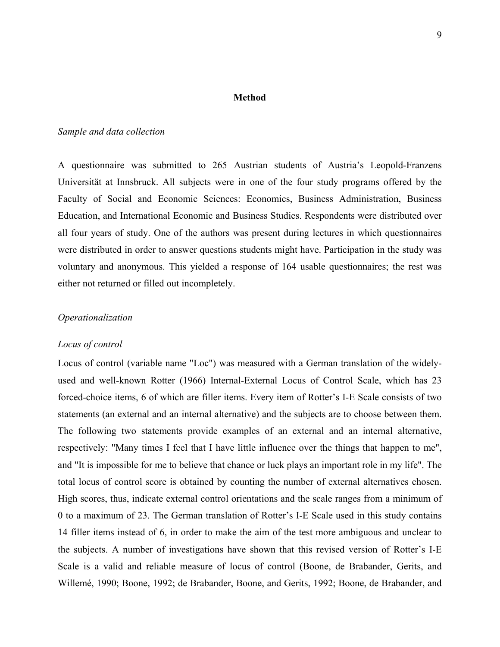#### **Method**

#### *Sample and data collection*

A questionnaire was submitted to 265 Austrian students of Austria's Leopold-Franzens Universität at Innsbruck. All subjects were in one of the four study programs offered by the Faculty of Social and Economic Sciences: Economics, Business Administration, Business Education, and International Economic and Business Studies. Respondents were distributed over all four years of study. One of the authors was present during lectures in which questionnaires were distributed in order to answer questions students might have. Participation in the study was voluntary and anonymous. This yielded a response of 164 usable questionnaires; the rest was either not returned or filled out incompletely.

#### *Operationalization*

#### *Locus of control*

Locus of control (variable name "Loc") was measured with a German translation of the widelyused and well-known Rotter (1966) Internal-External Locus of Control Scale, which has 23 forced-choice items, 6 of which are filler items. Every item of Rotter's I-E Scale consists of two statements (an external and an internal alternative) and the subjects are to choose between them. The following two statements provide examples of an external and an internal alternative, respectively: "Many times I feel that I have little influence over the things that happen to me", and "It is impossible for me to believe that chance or luck plays an important role in my life". The total locus of control score is obtained by counting the number of external alternatives chosen. High scores, thus, indicate external control orientations and the scale ranges from a minimum of 0 to a maximum of 23. The German translation of Rotter's I-E Scale used in this study contains 14 filler items instead of 6, in order to make the aim of the test more ambiguous and unclear to the subjects. A number of investigations have shown that this revised version of Rotter's I-E Scale is a valid and reliable measure of locus of control (Boone, de Brabander, Gerits, and Willemé, 1990; Boone, 1992; de Brabander, Boone, and Gerits, 1992; Boone, de Brabander, and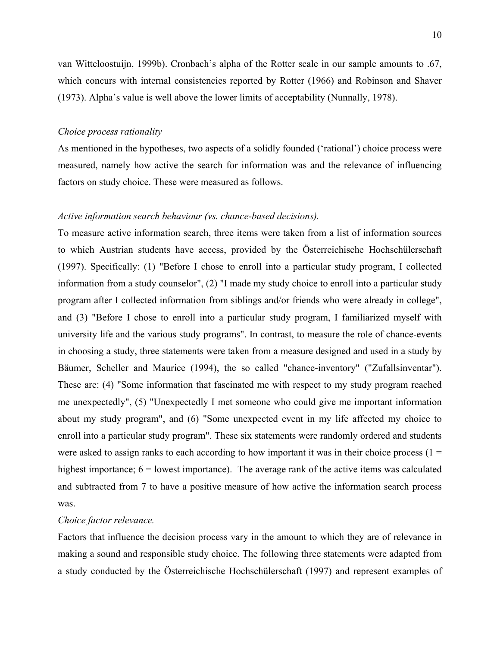van Witteloostuijn, 1999b). Cronbach's alpha of the Rotter scale in our sample amounts to .67, which concurs with internal consistencies reported by Rotter (1966) and Robinson and Shaver (1973). Alpha's value is well above the lower limits of acceptability (Nunnally, 1978).

#### *Choice process rationality*

As mentioned in the hypotheses, two aspects of a solidly founded ('rational') choice process were measured, namely how active the search for information was and the relevance of influencing factors on study choice. These were measured as follows.

#### *Active information search behaviour (vs. chance-based decisions).*

To measure active information search, three items were taken from a list of information sources to which Austrian students have access, provided by the Österreichische Hochschülerschaft (1997). Specifically: (1) "Before I chose to enroll into a particular study program, I collected information from a study counselor", (2) "I made my study choice to enroll into a particular study program after I collected information from siblings and/or friends who were already in college", and (3) "Before I chose to enroll into a particular study program, I familiarized myself with university life and the various study programs". In contrast, to measure the role of chance-events in choosing a study, three statements were taken from a measure designed and used in a study by Bäumer, Scheller and Maurice (1994), the so called "chance-inventory" ("Zufallsinventar"). These are: (4) "Some information that fascinated me with respect to my study program reached me unexpectedly", (5) "Unexpectedly I met someone who could give me important information about my study program", and (6) "Some unexpected event in my life affected my choice to enroll into a particular study program". These six statements were randomly ordered and students were asked to assign ranks to each according to how important it was in their choice process  $(1 =$ highest importance;  $6 =$  lowest importance). The average rank of the active items was calculated and subtracted from 7 to have a positive measure of how active the information search process was.

#### *Choice factor relevance.*

Factors that influence the decision process vary in the amount to which they are of relevance in making a sound and responsible study choice. The following three statements were adapted from a study conducted by the Österreichische Hochschülerschaft (1997) and represent examples of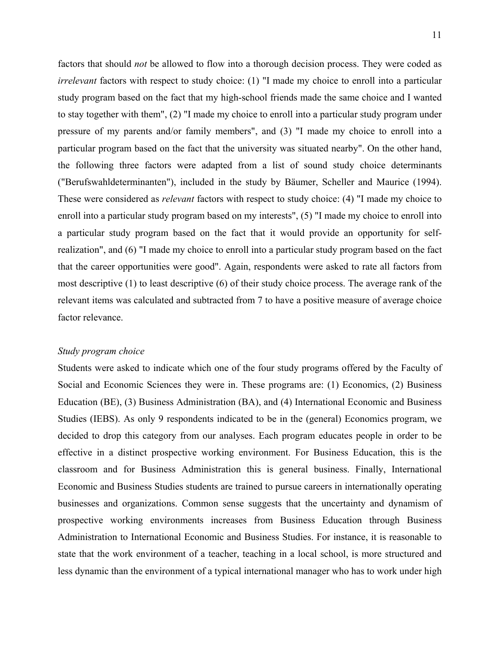factors that should *not* be allowed to flow into a thorough decision process. They were coded as *irrelevant* factors with respect to study choice: (1) "I made my choice to enroll into a particular study program based on the fact that my high-school friends made the same choice and I wanted to stay together with them", (2) "I made my choice to enroll into a particular study program under pressure of my parents and/or family members", and (3) "I made my choice to enroll into a particular program based on the fact that the university was situated nearby". On the other hand, the following three factors were adapted from a list of sound study choice determinants ("Berufswahldeterminanten"), included in the study by Bäumer, Scheller and Maurice (1994). These were considered as *relevant* factors with respect to study choice: (4) "I made my choice to enroll into a particular study program based on my interests", (5) "I made my choice to enroll into a particular study program based on the fact that it would provide an opportunity for selfrealization", and (6) "I made my choice to enroll into a particular study program based on the fact that the career opportunities were good". Again, respondents were asked to rate all factors from most descriptive (1) to least descriptive (6) of their study choice process. The average rank of the relevant items was calculated and subtracted from 7 to have a positive measure of average choice factor relevance.

#### *Study program choice*

Students were asked to indicate which one of the four study programs offered by the Faculty of Social and Economic Sciences they were in. These programs are: (1) Economics, (2) Business Education (BE), (3) Business Administration (BA), and (4) International Economic and Business Studies (IEBS). As only 9 respondents indicated to be in the (general) Economics program, we decided to drop this category from our analyses. Each program educates people in order to be effective in a distinct prospective working environment. For Business Education, this is the classroom and for Business Administration this is general business. Finally, International Economic and Business Studies students are trained to pursue careers in internationally operating businesses and organizations. Common sense suggests that the uncertainty and dynamism of prospective working environments increases from Business Education through Business Administration to International Economic and Business Studies. For instance, it is reasonable to state that the work environment of a teacher, teaching in a local school, is more structured and less dynamic than the environment of a typical international manager who has to work under high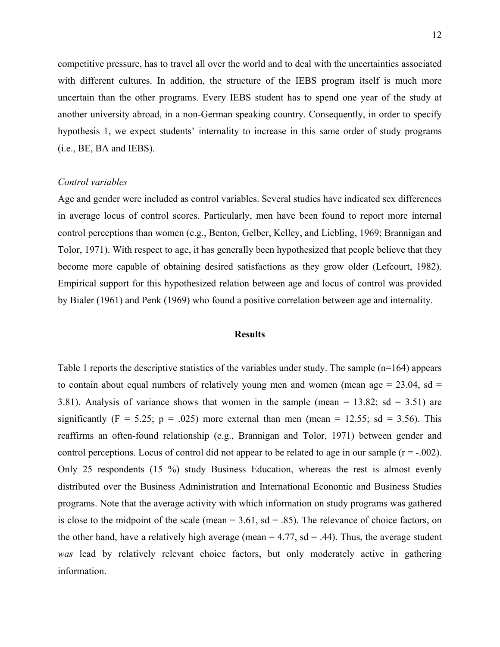competitive pressure, has to travel all over the world and to deal with the uncertainties associated with different cultures. In addition, the structure of the IEBS program itself is much more uncertain than the other programs. Every IEBS student has to spend one year of the study at another university abroad, in a non-German speaking country. Consequently, in order to specify hypothesis 1, we expect students' internality to increase in this same order of study programs (i.e., BE, BA and IEBS).

#### *Control variables*

Age and gender were included as control variables. Several studies have indicated sex differences in average locus of control scores. Particularly, men have been found to report more internal control perceptions than women (e.g., Benton, Gelber, Kelley, and Liebling, 1969; Brannigan and Tolor, 1971). With respect to age, it has generally been hypothesized that people believe that they become more capable of obtaining desired satisfactions as they grow older (Lefcourt, 1982). Empirical support for this hypothesized relation between age and locus of control was provided by Bialer (1961) and Penk (1969) who found a positive correlation between age and internality.

#### **Results**

Table 1 reports the descriptive statistics of the variables under study. The sample (n=164) appears to contain about equal numbers of relatively young men and women (mean age  $= 23.04$ , sd  $=$ 3.81). Analysis of variance shows that women in the sample (mean =  $13.82$ ; sd =  $3.51$ ) are significantly (F = 5.25; p = .025) more external than men (mean = 12.55; sd = 3.56). This reaffirms an often-found relationship (e.g., Brannigan and Tolor, 1971) between gender and control perceptions. Locus of control did not appear to be related to age in our sample  $(r = -0.002)$ . Only 25 respondents (15 %) study Business Education, whereas the rest is almost evenly distributed over the Business Administration and International Economic and Business Studies programs. Note that the average activity with which information on study programs was gathered is close to the midpoint of the scale (mean  $= 3.61$ , sd  $= .85$ ). The relevance of choice factors, on the other hand, have a relatively high average (mean  $= 4.77$ , sd  $= .44$ ). Thus, the average student *was* lead by relatively relevant choice factors, but only moderately active in gathering information.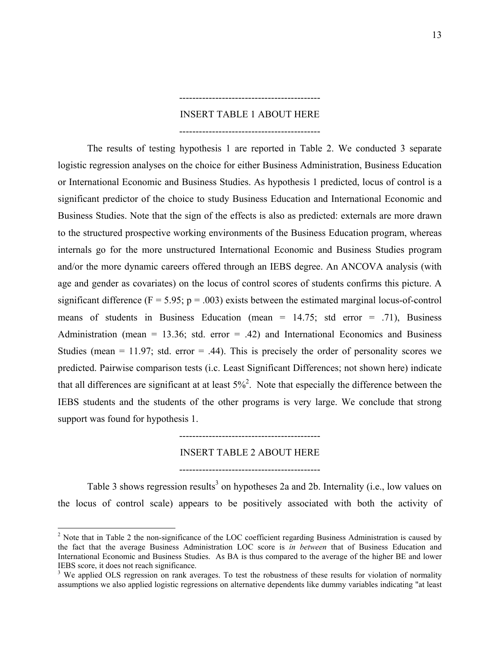#### INSERT TABLE 1 ABOUT HERE

-------------------------------------------

-------------------------------------------

<span id="page-13-1"></span> The results of testing hypothesis 1 are reported in Table 2. We conducted 3 separate logistic regression analyses on the choice for either Business Administration, Business Education or International Economic and Business Studies. As hypothesis 1 predicted, locus of control is a significant predictor of the choice to study Business Education and International Economic and Business Studies. Note that the sign of the effects is also as predicted: externals are more drawn to the structured prospective working environments of the Business Education program, whereas internals go for the more unstructured International Economic and Business Studies program and/or the more dynamic careers offered through an IEBS degree. An ANCOVA analysis (with age and gender as covariates) on the locus of control scores of students confirms this picture. A significant difference ( $F = 5.95$ ;  $p = .003$ ) exists between the estimated marginal locus-of-control means of students in Business Education (mean =  $14.75$ ; std error = .71), Business Administration (mean = 13.36; std. error = .42) and International Economics and Business Studies (mean = 11.97; std. error = .44). This is precisely the order of personality scores we predicted. Pairwise comparison tests (i.c. Least Significant Differences; not shown here) indicate that all differences are significant at at least  $5\%$ <sup>2</sup>. Note that especially the difference between the IEBS students and the students of the other programs is very large. We conclude that strong support was found for hypothesis 1.

INSERT TABLE 2 ABOUT HERE

-------------------------------------------

-------------------------------------------

Table [3](#page-13-1) shows regression results<sup>3</sup> on hypotheses 2a and 2b. Internality (i.e., low values on the locus of control scale) appears to be positively associated with both the activity of

1

<span id="page-13-0"></span> $2$  Note that in Table 2 the non-significance of the LOC coefficient regarding Business Administration is caused by the fact that the average Business Administration LOC score is *in between* that of Business Education and International Economic and Business Studies. As BA is thus compared to the average of the higher BE and lower IEBS score, it does not reach significance.

<sup>&</sup>lt;sup>3</sup> We applied OLS regression on rank averages. To test the robustness of these results for violation of normality assumptions we also applied logistic regressions on alternative dependents like dummy variables indicating "at least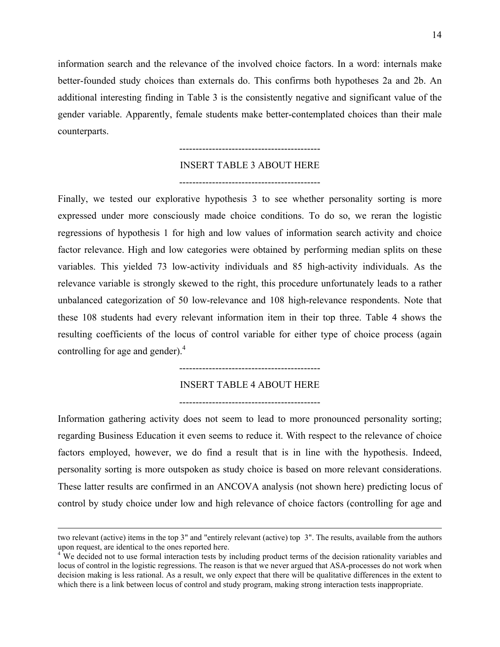information search and the relevance of the involved choice factors. In a word: internals make better-founded study choices than externals do. This confirms both hypotheses 2a and 2b. An additional interesting finding in Table 3 is the consistently negative and significant value of the gender variable. Apparently, female students make better-contemplated choices than their male counterparts.

#### INSERT TABLE 3 ABOUT HERE

-------------------------------------------

-------------------------------------------

Finally, we tested our explorative hypothesis 3 to see whether personality sorting is more expressed under more consciously made choice conditions. To do so, we reran the logistic regressions of hypothesis 1 for high and low values of information search activity and choice factor relevance. High and low categories were obtained by performing median splits on these variables. This yielded 73 low-activity individuals and 85 high-activity individuals. As the relevance variable is strongly skewed to the right, this procedure unfortunately leads to a rather unbalanced categorization of 50 low-relevance and 108 high-relevance respondents. Note that these 108 students had every relevant information item in their top three. Table 4 shows the resulting coefficients of the locus of control variable for either type of choice process (again controlling for age and gender). $4$ 

-------------------------------------------

INSERT TABLE 4 ABOUT HERE

-------------------------------------------

Information gathering activity does not seem to lead to more pronounced personality sorting; regarding Business Education it even seems to reduce it. With respect to the relevance of choice factors employed, however, we do find a result that is in line with the hypothesis. Indeed, personality sorting is more outspoken as study choice is based on more relevant considerations. These latter results are confirmed in an ANCOVA analysis (not shown here) predicting locus of control by study choice under low and high relevance of choice factors (controlling for age and

two relevant (active) items in the top 3" and "entirely relevant (active) top 3". The results, available from the authors upon request, are identical to the ones reported here.

<span id="page-14-0"></span><sup>&</sup>lt;sup>4</sup> We decided not to use formal interaction tests by including product terms of the decision rationality variables and locus of control in the logistic regressions. The reason is that we never argued that ASA-processes do not work when decision making is less rational. As a result, we only expect that there will be qualitative differences in the extent to which there is a link between locus of control and study program, making strong interaction tests inappropriate.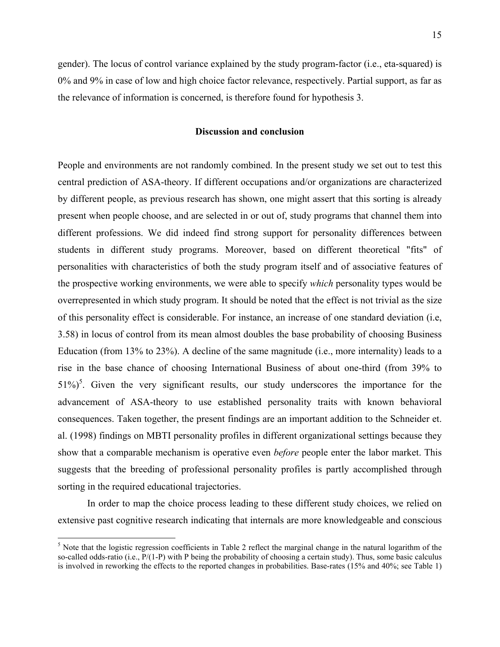gender). The locus of control variance explained by the study program-factor (i.e., eta-squared) is 0% and 9% in case of low and high choice factor relevance, respectively. Partial support, as far as the relevance of information is concerned, is therefore found for hypothesis 3.

#### **Discussion and conclusion**

People and environments are not randomly combined. In the present study we set out to test this central prediction of ASA-theory. If different occupations and/or organizations are characterized by different people, as previous research has shown, one might assert that this sorting is already present when people choose, and are selected in or out of, study programs that channel them into different professions. We did indeed find strong support for personality differences between students in different study programs. Moreover, based on different theoretical "fits" of personalities with characteristics of both the study program itself and of associative features of the prospective working environments, we were able to specify *which* personality types would be overrepresented in which study program. It should be noted that the effect is not trivial as the size of this personality effect is considerable. For instance, an increase of one standard deviation (i.e, 3.58) in locus of control from its mean almost doubles the base probability of choosing Business Education (from 13% to 23%). A decline of the same magnitude (i.e., more internality) leads to a rise in the base chance of choosing International Business of about one-third (from 39% to  $51\%$  $51\%$ <sup>5</sup>. Given the very significant results, our study underscores the importance for the advancement of ASA-theory to use established personality traits with known behavioral consequences. Taken together, the present findings are an important addition to the Schneider et. al. (1998) findings on MBTI personality profiles in different organizational settings because they show that a comparable mechanism is operative even *before* people enter the labor market. This suggests that the breeding of professional personality profiles is partly accomplished through sorting in the required educational trajectories.

In order to map the choice process leading to these different study choices, we relied on extensive past cognitive research indicating that internals are more knowledgeable and conscious

<u>.</u>

<span id="page-15-0"></span> $<sup>5</sup>$  Note that the logistic regression coefficients in Table 2 reflect the marginal change in the natural logarithm of the</sup> so-called odds-ratio (i.e.,  $P/(1-P)$  with P being the probability of choosing a certain study). Thus, some basic calculus is involved in reworking the effects to the reported changes in probabilities. Base-rates (15% and 40%; see Table 1)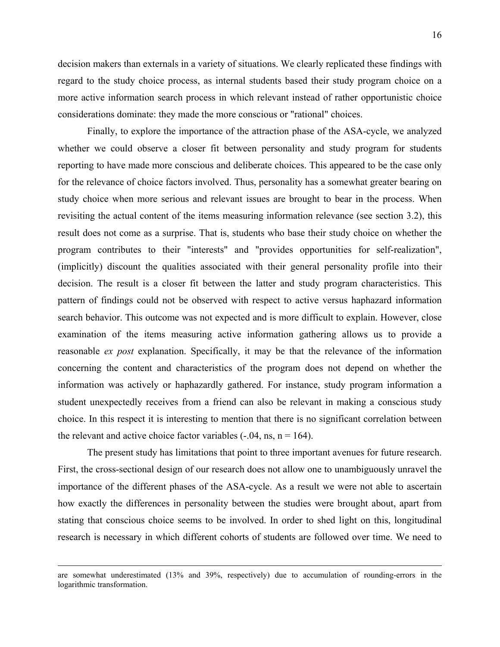16

decision makers than externals in a variety of situations. We clearly replicated these findings with regard to the study choice process, as internal students based their study program choice on a more active information search process in which relevant instead of rather opportunistic choice considerations dominate: they made the more conscious or "rational" choices.

Finally, to explore the importance of the attraction phase of the ASA-cycle, we analyzed whether we could observe a closer fit between personality and study program for students reporting to have made more conscious and deliberate choices. This appeared to be the case only for the relevance of choice factors involved. Thus, personality has a somewhat greater bearing on study choice when more serious and relevant issues are brought to bear in the process. When revisiting the actual content of the items measuring information relevance (see section 3.2), this result does not come as a surprise. That is, students who base their study choice on whether the program contributes to their "interests" and "provides opportunities for self-realization", (implicitly) discount the qualities associated with their general personality profile into their decision. The result is a closer fit between the latter and study program characteristics. This pattern of findings could not be observed with respect to active versus haphazard information search behavior. This outcome was not expected and is more difficult to explain. However, close examination of the items measuring active information gathering allows us to provide a reasonable *ex post* explanation. Specifically, it may be that the relevance of the information concerning the content and characteristics of the program does not depend on whether the information was actively or haphazardly gathered. For instance, study program information a student unexpectedly receives from a friend can also be relevant in making a conscious study choice. In this respect it is interesting to mention that there is no significant correlation between the relevant and active choice factor variables  $(-.04, \text{ns}, \text{n} = 164)$ .

The present study has limitations that point to three important avenues for future research. First, the cross-sectional design of our research does not allow one to unambiguously unravel the importance of the different phases of the ASA-cycle. As a result we were not able to ascertain how exactly the differences in personality between the studies were brought about, apart from stating that conscious choice seems to be involved. In order to shed light on this, longitudinal research is necessary in which different cohorts of students are followed over time. We need to

are somewhat underestimated (13% and 39%, respectively) due to accumulation of rounding-errors in the logarithmic transformation.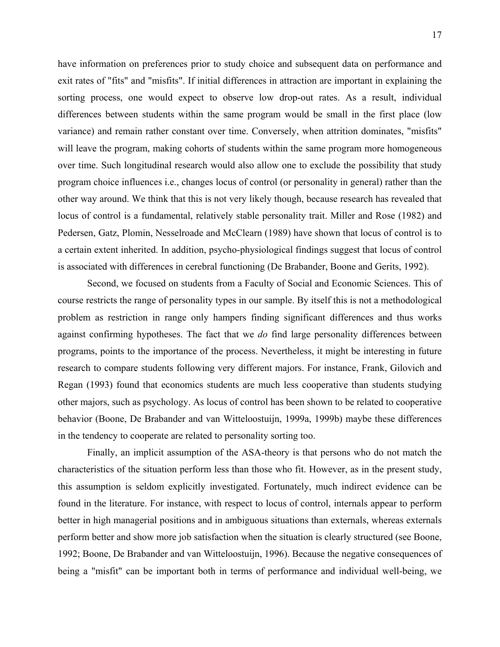have information on preferences prior to study choice and subsequent data on performance and exit rates of "fits" and "misfits". If initial differences in attraction are important in explaining the sorting process, one would expect to observe low drop-out rates. As a result, individual differences between students within the same program would be small in the first place (low variance) and remain rather constant over time. Conversely, when attrition dominates, "misfits" will leave the program, making cohorts of students within the same program more homogeneous over time. Such longitudinal research would also allow one to exclude the possibility that study program choice influences i.e., changes locus of control (or personality in general) rather than the other way around. We think that this is not very likely though, because research has revealed that locus of control is a fundamental, relatively stable personality trait. Miller and Rose (1982) and Pedersen, Gatz, Plomin, Nesselroade and McClearn (1989) have shown that locus of control is to a certain extent inherited. In addition, psycho-physiological findings suggest that locus of control is associated with differences in cerebral functioning (De Brabander, Boone and Gerits, 1992).

Second, we focused on students from a Faculty of Social and Economic Sciences. This of course restricts the range of personality types in our sample. By itself this is not a methodological problem as restriction in range only hampers finding significant differences and thus works against confirming hypotheses. The fact that we *do* find large personality differences between programs, points to the importance of the process. Nevertheless, it might be interesting in future research to compare students following very different majors. For instance, Frank, Gilovich and Regan (1993) found that economics students are much less cooperative than students studying other majors, such as psychology. As locus of control has been shown to be related to cooperative behavior (Boone, De Brabander and van Witteloostuijn, 1999a, 1999b) maybe these differences in the tendency to cooperate are related to personality sorting too.

Finally, an implicit assumption of the ASA-theory is that persons who do not match the characteristics of the situation perform less than those who fit. However, as in the present study, this assumption is seldom explicitly investigated. Fortunately, much indirect evidence can be found in the literature. For instance, with respect to locus of control, internals appear to perform better in high managerial positions and in ambiguous situations than externals, whereas externals perform better and show more job satisfaction when the situation is clearly structured (see Boone, 1992; Boone, De Brabander and van Witteloostuijn, 1996). Because the negative consequences of being a "misfit" can be important both in terms of performance and individual well-being, we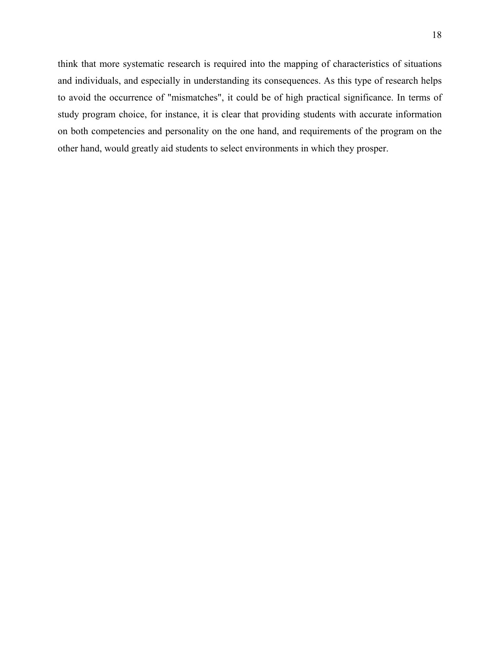think that more systematic research is required into the mapping of characteristics of situations and individuals, and especially in understanding its consequences. As this type of research helps to avoid the occurrence of "mismatches", it could be of high practical significance. In terms of study program choice, for instance, it is clear that providing students with accurate information on both competencies and personality on the one hand, and requirements of the program on the other hand, would greatly aid students to select environments in which they prosper.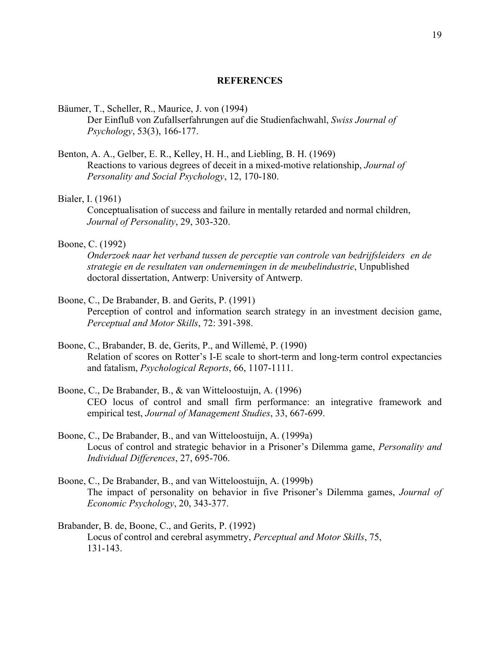### **REFERENCES**

#### Bäumer, T., Scheller, R., Maurice, J. von (1994)

 Der Einfluß von Zufallserfahrungen auf die Studienfachwahl, *Swiss Journal of Psychology*, 53(3), 166-177.

Benton, A. A., Gelber, E. R., Kelley, H. H., and Liebling, B. H. (1969) Reactions to various degrees of deceit in a mixed-motive relationship, *Journal of Personality and Social Psychology*, 12, 170-180.

#### Bialer, I. (1961)

 Conceptualisation of success and failure in mentally retarded and normal children, *Journal of Personality*, 29, 303-320.

### Boone, C. (1992)

*Onderzoek naar het verband tussen de perceptie van controle van bedrijfsleiders en de strategie en de resultaten van ondernemingen in de meubelindustrie*, Unpublished doctoral dissertation, Antwerp: University of Antwerp.

### Boone, C., De Brabander, B. and Gerits, P. (1991)

Perception of control and information search strategy in an investment decision game, *Perceptual and Motor Skills*, 72: 391-398.

- Boone, C., Brabander, B. de, Gerits, P., and Willemé, P. (1990) Relation of scores on Rotter's I-E scale to short-term and long-term control expectancies and fatalism, *Psychological Reports*, 66, 1107-1111.
- Boone, C., De Brabander, B., & van Witteloostuijn, A. (1996) CEO locus of control and small firm performance: an integrative framework and empirical test, *Journal of Management Studies*, 33, 667-699.
- Boone, C., De Brabander, B., and van Witteloostuijn, A. (1999a) Locus of control and strategic behavior in a Prisoner's Dilemma game, *Personality and Individual Differences*, 27, 695-706.
- Boone, C., De Brabander, B., and van Witteloostuijn, A. (1999b) The impact of personality on behavior in five Prisoner's Dilemma games, *Journal of Economic Psychology*, 20, 343-377.
- Brabander, B. de, Boone, C., and Gerits, P. (1992) Locus of control and cerebral asymmetry, *Perceptual and Motor Skills*, 75, 131-143.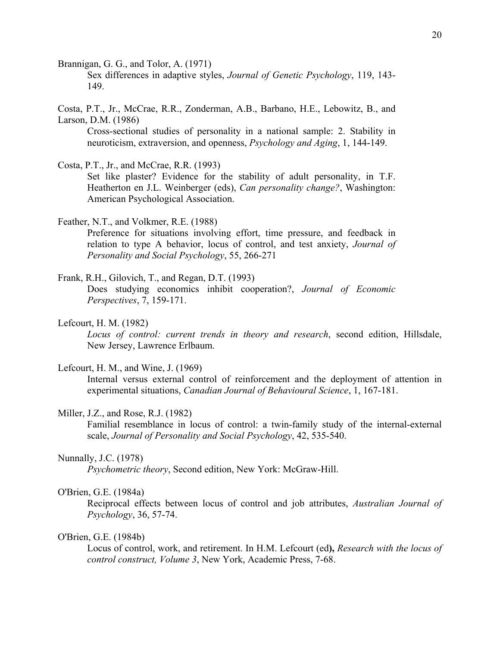Brannigan, G. G., and Tolor, A. (1971)

Sex differences in adaptive styles, *Journal of Genetic Psychology*, 119, 143- 149.

Costa, P.T., Jr., McCrae, R.R., Zonderman, A.B., Barbano, H.E., Lebowitz, B., and Larson, D.M. (1986)

Cross-sectional studies of personality in a national sample: 2. Stability in neuroticism, extraversion, and openness, *Psychology and Aging*, 1, 144-149.

Costa, P.T., Jr., and McCrae, R.R. (1993)

Set like plaster? Evidence for the stability of adult personality, in T.F. Heatherton en J.L. Weinberger (eds), *Can personality change?*, Washington: American Psychological Association.

Feather, N.T., and Volkmer, R.E. (1988)

Preference for situations involving effort, time pressure, and feedback in relation to type A behavior, locus of control, and test anxiety, *Journal of Personality and Social Psychology*, 55, 266-271

Frank, R.H., Gilovich, T., and Regan, D.T. (1993)

Does studying economics inhibit cooperation?, *Journal of Economic Perspectives*, 7, 159-171.

Lefcourt, H. M. (1982)

*Locus of control: current trends in theory and research*, second edition, Hillsdale, New Jersey, Lawrence Erlbaum.

#### Lefcourt, H. M., and Wine, J. (1969)

 Internal versus external control of reinforcement and the deployment of attention in experimental situations, *Canadian Journal of Behavioural Science*, 1, 167-181.

#### Miller, J.Z., and Rose, R.J. (1982)

Familial resemblance in locus of control: a twin-family study of the internal-external scale, *Journal of Personality and Social Psychology*, 42, 535-540.

#### Nunnally, J.C. (1978)

*Psychometric theory*, Second edition, New York: McGraw-Hill.

### O'Brien, G.E. (1984a)

Reciprocal effects between locus of control and job attributes, *Australian Journal of Psychology*, 36, 57-74.

#### O'Brien, G.E. (1984b)

Locus of control, work, and retirement. In H.M. Lefcourt (ed**),** *Research with the locus of control construct, Volume 3*, New York, Academic Press, 7-68.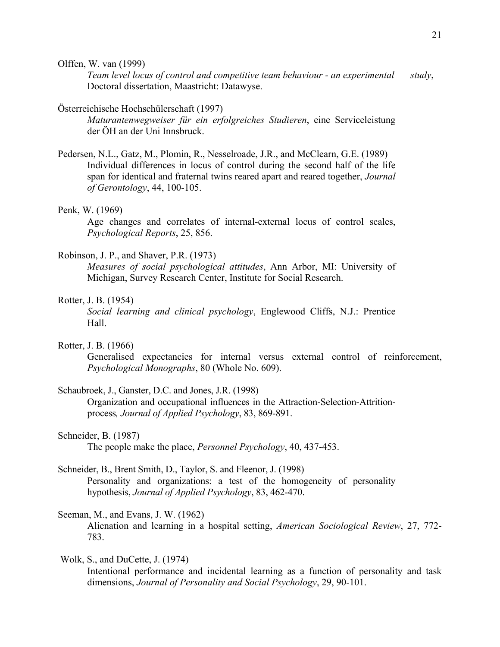Olffen, W. van (1999)

*Team level locus of control and competitive team behaviour - an experimental study*, Doctoral dissertation, Maastricht: Datawyse.

### Österreichische Hochschülerschaft (1997)

*Maturantenwegweiser für ein erfolgreiches Studieren*, eine Serviceleistung der ÖH an der Uni Innsbruck.

Pedersen, N.L., Gatz, M., Plomin, R., Nesselroade, J.R., and McClearn, G.E. (1989) Individual differences in locus of control during the second half of the life span for identical and fraternal twins reared apart and reared together, *Journal of Gerontology*, 44, 100-105.

#### Penk, W. (1969)

Age changes and correlates of internal-external locus of control scales, *Psychological Reports*, 25, 856.

#### Robinson, J. P., and Shaver, P.R. (1973)

*Measures of social psychological attitudes*, Ann Arbor, MI: University of Michigan, Survey Research Center, Institute for Social Research.

#### Rotter, J. B. (1954)

*Social learning and clinical psychology*, Englewood Cliffs, N.J.: Prentice Hall.

### Rotter, J. B. (1966)

 Generalised expectancies for internal versus external control of reinforcement, *Psychological Monographs*, 80 (Whole No. 609).

## Schaubroek, J., Ganster, D.C. and Jones, J.R. (1998)

Organization and occupational influences in the Attraction-Selection-Attritionprocess*, Journal of Applied Psychology*, 83, 869-891.

### Schneider, B. (1987)

The people make the place, *Personnel Psychology*, 40, 437-453.

## Schneider, B., Brent Smith, D., Taylor, S. and Fleenor, J. (1998)

Personality and organizations: a test of the homogeneity of personality hypothesis, *Journal of Applied Psychology*, 83, 462-470.

## Seeman, M., and Evans, J. W. (1962)

 Alienation and learning in a hospital setting, *American Sociological Review*, 27, 772- 783.

## Wolk, S., and DuCette, J. (1974)

 Intentional performance and incidental learning as a function of personality and task dimensions, *Journal of Personality and Social Psychology*, 29, 90-101.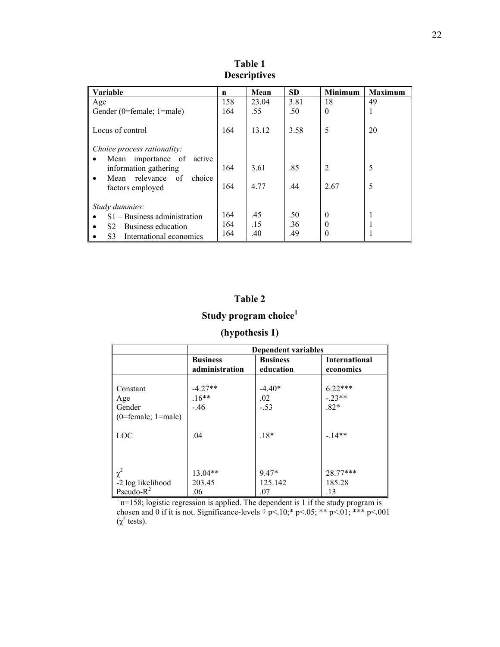| <b>Variable</b>                                       | n   | Mean  | <b>SD</b> | <b>Minimum</b> | <b>Maximum</b> |
|-------------------------------------------------------|-----|-------|-----------|----------------|----------------|
| Age                                                   | 158 | 23.04 | 3.81      | 18             | 49             |
| Gender (0=female; 1=male)                             | 164 | .55   | .50       | $\theta$       | ı.             |
|                                                       |     |       |           |                |                |
| Locus of control                                      | 164 | 13.12 | 3.58      | 5              | 20             |
|                                                       |     |       |           |                |                |
| Choice process rationality:                           |     |       |           |                |                |
| importance of<br>active<br>Mean<br>$\bullet$          |     |       |           |                |                |
| information gathering                                 | 164 | 3.61  | .85       | $\overline{2}$ | 5              |
| Mean relevance of<br>choice<br>$\bullet$              |     |       |           |                |                |
|                                                       | 164 | 4.77  | .44       | 2.67           | 5              |
| factors employed                                      |     |       |           |                |                |
|                                                       |     |       |           |                |                |
| Study dummies:                                        |     |       |           |                |                |
| $S1 - Business$ administration<br>$\bullet$           | 164 | .45   | .50       | $\theta$       |                |
| $S2 - Business education$<br>$\bullet$                | 164 | .15   | 36        | 0              |                |
| S <sub>3</sub> – International economics<br>$\bullet$ | 164 | .40   | .49       | 0              |                |

**Table 1 Descriptives** 

## **Table 2**

# **Study program choice<sup>1</sup>**

## **(hypothesis 1)**

|                                                                                                 | <b>Dependent variables</b>     |                 |                      |  |
|-------------------------------------------------------------------------------------------------|--------------------------------|-----------------|----------------------|--|
|                                                                                                 | <b>Business</b>                | <b>Business</b> | <b>International</b> |  |
|                                                                                                 | administration                 | education       | economics            |  |
|                                                                                                 |                                |                 |                      |  |
| Constant                                                                                        |                                | $-4.40*$        |                      |  |
| Age                                                                                             | $-4.27**$<br>$.16**$<br>$-.46$ | .02             | $6.22***$<br>-.23**  |  |
| Gender                                                                                          |                                | $-.53$          | $.82*$               |  |
| $(0 = female; 1 = male)$                                                                        |                                |                 |                      |  |
|                                                                                                 |                                |                 |                      |  |
| LOC                                                                                             | .04                            | $.18*$          | $-14**$              |  |
|                                                                                                 |                                |                 |                      |  |
|                                                                                                 |                                |                 |                      |  |
|                                                                                                 |                                |                 |                      |  |
| $\chi^2$                                                                                        | $13.04**$                      | $9.47*$         | $28.77***$           |  |
| -2 log likelihood                                                                               | 203.45                         | 125.142         | 185.28               |  |
| Pseudo- $R^2$                                                                                   | .06                            | .07             | .13                  |  |
| $\frac{1}{1}n=158$ ; logistic regression is applied. The dependent is 1 if the study program is |                                |                 |                      |  |

chosen and 0 if it is not. Significance-levels  $\dagger$  p<.10;\* p<.05; \*\* p<.01; \*\*\* p<.001  $(χ<sup>2</sup> tests).$